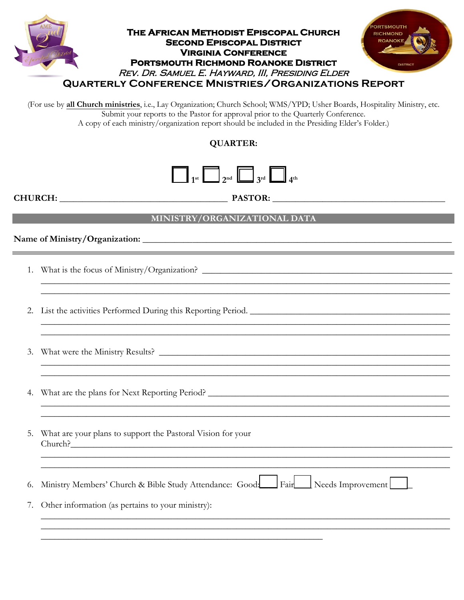

(For use by **all Church ministries**, i.e., Lay Organization; Church School; WMS/YPD; Usher Boards, Hospitality Ministry, etc. Submit your reports to the Pastor for approval prior to the Quarterly Conference. A copy of each ministry/organization report should be included in the Presiding Elder's Folder.)

## **QUARTER:**



| <b>CHURCH:</b> |
|----------------|
|----------------|

**CHURCH: \_\_\_\_\_\_\_\_\_\_\_\_\_\_\_\_\_\_\_\_\_\_\_\_\_\_\_\_\_\_\_\_\_\_\_\_\_ PASTOR: \_\_\_\_\_\_\_\_\_\_\_\_\_\_\_\_\_\_\_\_\_\_\_\_\_\_\_\_\_\_\_\_\_\_\_\_\_\_** 

\_\_\_\_\_\_\_\_\_\_\_\_\_\_\_\_\_\_\_\_\_\_\_\_\_\_\_\_\_\_\_\_\_\_\_\_\_\_\_\_\_\_\_\_\_\_\_\_\_\_\_\_\_\_\_\_\_\_\_\_\_\_\_\_\_\_\_\_\_\_\_\_\_\_\_\_\_\_\_\_\_\_\_\_\_\_\_\_\_\_ \_\_\_\_\_\_\_\_\_\_\_\_\_\_\_\_\_\_\_\_\_\_\_\_\_\_\_\_\_\_\_\_\_\_\_\_\_\_\_\_\_\_\_\_\_\_\_\_\_\_\_\_\_\_\_\_\_\_\_\_\_\_\_\_\_\_\_\_\_\_\_\_\_\_\_\_\_\_\_\_\_\_\_\_\_\_\_\_\_\_

 $\_$  , and the set of the set of the set of the set of the set of the set of the set of the set of the set of the set of the set of the set of the set of the set of the set of the set of the set of the set of the set of th  $\_$  , and the set of the set of the set of the set of the set of the set of the set of the set of the set of the set of the set of the set of the set of the set of the set of the set of the set of the set of the set of th

 $\_$  , and the set of the set of the set of the set of the set of the set of the set of the set of the set of the set of the set of the set of the set of the set of the set of the set of the set of the set of the set of th  $\_$  , and the set of the set of the set of the set of the set of the set of the set of the set of the set of the set of the set of the set of the set of the set of the set of the set of the set of the set of the set of th

\_\_\_\_\_\_\_\_\_\_\_\_\_\_\_\_\_\_\_\_\_\_\_\_\_\_\_\_\_\_\_\_\_\_\_\_\_\_\_\_\_\_\_\_\_\_\_\_\_\_\_\_\_\_\_\_\_\_\_\_\_\_\_\_\_\_\_\_\_\_\_\_\_\_\_\_\_\_\_\_\_\_\_\_\_\_\_\_\_\_

\_\_\_\_\_\_\_\_\_\_\_\_\_\_\_\_\_\_\_\_\_\_\_\_\_\_\_\_\_\_\_\_\_\_\_\_\_\_\_\_\_\_\_\_\_\_\_\_\_\_\_\_\_\_\_\_\_\_\_\_\_\_\_\_\_\_\_\_\_\_\_\_\_\_\_\_\_\_\_\_\_\_\_\_\_\_\_\_\_\_ \_\_\_\_\_\_\_\_\_\_\_\_\_\_\_\_\_\_\_\_\_\_\_\_\_\_\_\_\_\_\_\_\_\_\_\_\_\_\_\_\_\_\_\_\_\_\_\_\_\_\_\_\_\_\_\_\_\_\_\_\_\_\_\_\_\_\_\_\_\_\_\_\_\_\_\_\_\_\_\_\_\_\_\_\_\_\_\_\_\_

 $\mathcal{L}_\mathcal{L} = \mathcal{L}_\mathcal{L} = \mathcal{L}_\mathcal{L} = \mathcal{L}_\mathcal{L} = \mathcal{L}_\mathcal{L} = \mathcal{L}_\mathcal{L} = \mathcal{L}_\mathcal{L} = \mathcal{L}_\mathcal{L} = \mathcal{L}_\mathcal{L} = \mathcal{L}_\mathcal{L} = \mathcal{L}_\mathcal{L} = \mathcal{L}_\mathcal{L} = \mathcal{L}_\mathcal{L} = \mathcal{L}_\mathcal{L} = \mathcal{L}_\mathcal{L} = \mathcal{L}_\mathcal{L} = \mathcal{L}_\mathcal{L}$ 

## **MINISTRY/ORGANIZATIONAL DATA**

Name of Ministry/Organization:

1. What is the focus of Ministry/Organization? \_\_\_\_\_\_\_\_\_\_\_\_\_\_\_\_\_\_\_\_\_\_\_\_\_\_\_\_\_\_\_\_\_\_

2. List the activities Performed During this Reporting Period.

3. What were the Ministry Results? \_\_\_\_\_\_\_\_\_\_\_\_\_\_\_\_\_\_\_\_\_\_\_\_\_\_\_\_\_\_\_\_\_\_\_\_\_\_\_\_\_\_\_\_\_\_\_\_\_\_\_\_\_\_\_\_\_\_\_\_\_\_\_\_

4. What are the plans for Next Reporting Period? \_\_\_\_\_\_\_\_\_\_\_\_\_\_\_\_\_\_\_\_\_\_\_\_\_\_\_\_\_\_\_\_

5. What are your plans to support the Pastoral Vision for your Church?\_\_\_\_\_\_\_\_\_\_\_\_\_\_\_\_\_\_\_\_\_\_\_\_\_\_\_\_\_\_\_\_\_\_\_\_\_\_\_\_\_\_\_\_\_\_\_\_\_\_\_\_\_\_\_\_\_\_\_\_\_\_\_\_\_\_\_\_\_\_\_\_\_\_\_\_\_\_\_\_\_\_\_\_

6. Ministry Members' Church & Bible Study Attendance: Good:<br>Fair Needs Improvement

\_\_\_\_\_\_\_\_\_\_\_\_\_\_\_\_\_\_\_\_\_\_\_\_\_\_\_\_\_\_\_\_\_\_\_\_\_\_\_\_\_\_\_\_\_\_\_\_\_\_\_\_\_\_\_\_\_\_\_\_\_\_

7. Other information (as pertains to your ministry):

\_\_\_\_\_\_\_\_\_\_\_\_\_\_\_\_\_\_\_\_\_\_\_\_\_\_\_\_\_\_\_\_\_\_\_\_\_\_\_\_\_\_\_\_\_\_\_\_\_\_\_\_\_\_\_\_\_\_\_\_\_\_\_\_\_\_\_\_\_\_\_\_\_\_\_\_\_\_\_\_\_\_\_\_\_\_\_\_\_\_ \_\_\_\_\_\_\_\_\_\_\_\_\_\_\_\_\_\_\_\_\_\_\_\_\_\_\_\_\_\_\_\_\_\_\_\_\_\_\_\_\_\_\_\_\_\_\_\_\_\_\_\_\_\_\_\_\_\_\_\_\_\_\_\_\_\_\_\_\_\_\_\_\_\_\_\_\_\_\_\_\_\_\_\_\_\_\_\_\_\_